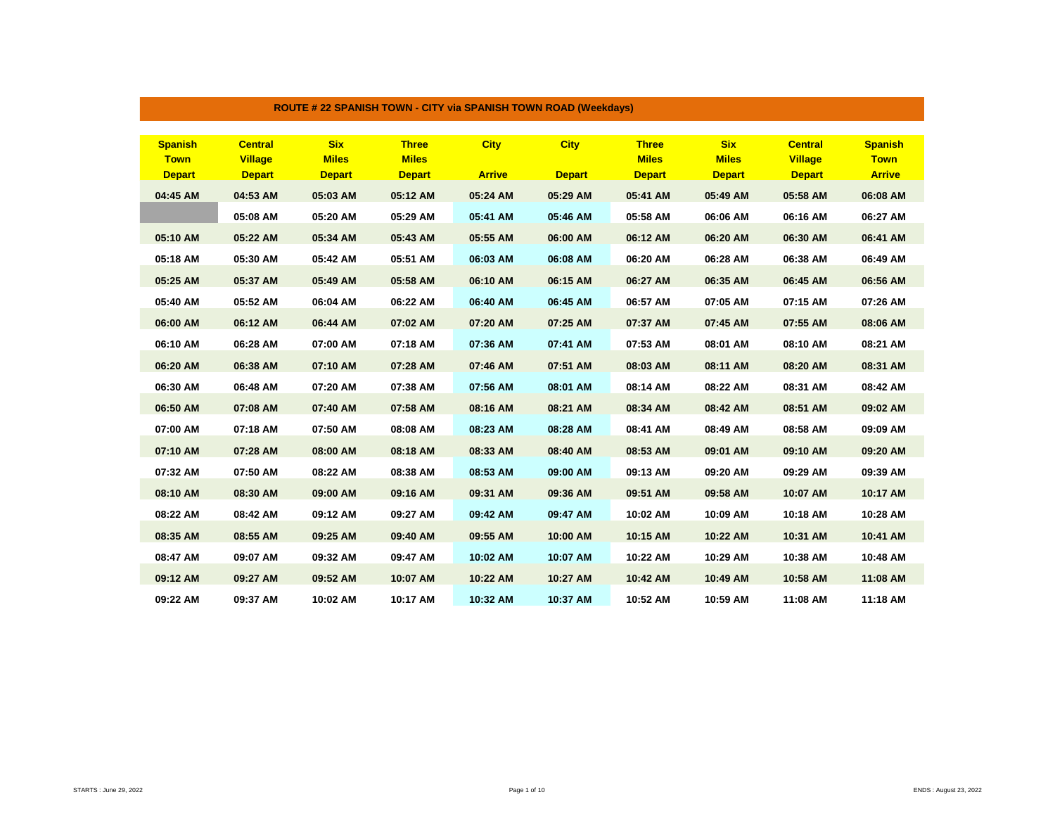| <b>Spanish</b> | <b>Central</b> | <b>Six</b>    | <b>Three</b>  | <b>City</b>   | <b>City</b>   | <b>Three</b>  | <b>Six</b>    | <b>Central</b> | <b>Spanish</b> |
|----------------|----------------|---------------|---------------|---------------|---------------|---------------|---------------|----------------|----------------|
| <b>Town</b>    | <b>Village</b> | <b>Miles</b>  | <b>Miles</b>  |               |               | <b>Miles</b>  | <b>Miles</b>  | <b>Village</b> | <b>Town</b>    |
| <b>Depart</b>  | <b>Depart</b>  | <b>Depart</b> | <b>Depart</b> | <b>Arrive</b> | <b>Depart</b> | <b>Depart</b> | <b>Depart</b> | <b>Depart</b>  | <b>Arrive</b>  |
| 04:45 AM       | 04:53 AM       | 05:03 AM      | 05:12 AM      | 05:24 AM      | 05:29 AM      | 05:41 AM      | 05:49 AM      | 05:58 AM       | 06:08 AM       |
|                | 05:08 AM       | 05:20 AM      | 05:29 AM      | 05:41 AM      | 05:46 AM      | 05:58 AM      | 06:06 AM      | 06:16 AM       | 06:27 AM       |
| 05:10 AM       | 05:22 AM       | 05:34 AM      | 05:43 AM      | 05:55 AM      | 06:00 AM      | 06:12 AM      | 06:20 AM      | 06:30 AM       | 06:41 AM       |
| 05:18 AM       | 05:30 AM       | 05:42 AM      | 05:51 AM      | 06:03 AM      | 06:08 AM      | 06:20 AM      | 06:28 AM      | 06:38 AM       | 06:49 AM       |
| 05:25 AM       | 05:37 AM       | 05:49 AM      | 05:58 AM      | 06:10 AM      | 06:15 AM      | 06:27 AM      | 06:35 AM      | 06:45 AM       | 06:56 AM       |
| 05:40 AM       | 05:52 AM       | 06:04 AM      | 06:22 AM      | 06:40 AM      | 06:45 AM      | 06:57 AM      | 07:05 AM      | 07:15 AM       | 07:26 AM       |
| 06:00 AM       | 06:12 AM       | 06:44 AM      | 07:02 AM      | 07:20 AM      | 07:25 AM      | 07:37 AM      | 07:45 AM      | 07:55 AM       | 08:06 AM       |
| 06:10 AM       | 06:28 AM       | 07:00 AM      | 07:18 AM      | 07:36 AM      | 07:41 AM      | 07:53 AM      | 08:01 AM      | 08:10 AM       | 08:21 AM       |
| 06:20 AM       | 06:38 AM       | 07:10 AM      | 07:28 AM      | 07:46 AM      | 07:51 AM      | 08:03 AM      | 08:11 AM      | 08:20 AM       | 08:31 AM       |
| 06:30 AM       | 06:48 AM       | 07:20 AM      | 07:38 AM      | 07:56 AM      | 08:01 AM      | 08:14 AM      | 08:22 AM      | 08:31 AM       | 08:42 AM       |
| 06:50 AM       | 07:08 AM       | 07:40 AM      | 07:58 AM      | 08:16 AM      | 08:21 AM      | 08:34 AM      | 08:42 AM      | 08:51 AM       | 09:02 AM       |
| 07:00 AM       | 07:18 AM       | 07:50 AM      | 08:08 AM      | 08:23 AM      | 08:28 AM      | 08:41 AM      | 08:49 AM      | 08:58 AM       | 09:09 AM       |
| 07:10 AM       | 07:28 AM       | 08:00 AM      | 08:18 AM      | 08:33 AM      | 08:40 AM      | 08:53 AM      | 09:01 AM      | 09:10 AM       | 09:20 AM       |
| 07:32 AM       | 07:50 AM       | 08:22 AM      | 08:38 AM      | 08:53 AM      | 09:00 AM      | 09:13 AM      | 09:20 AM      | 09:29 AM       | 09:39 AM       |
| 08:10 AM       | 08:30 AM       | 09:00 AM      | 09:16 AM      | 09:31 AM      | 09:36 AM      | 09:51 AM      | 09:58 AM      | 10:07 AM       | 10:17 AM       |
| 08:22 AM       | 08:42 AM       | 09:12 AM      | 09:27 AM      | 09:42 AM      | 09:47 AM      | 10:02 AM      | 10:09 AM      | 10:18 AM       | 10:28 AM       |
| 08:35 AM       | 08:55 AM       | 09:25 AM      | 09:40 AM      | 09:55 AM      | 10:00 AM      | 10:15 AM      | 10:22 AM      | 10:31 AM       | 10:41 AM       |
| 08:47 AM       | 09:07 AM       | 09:32 AM      | 09:47 AM      | 10:02 AM      | 10:07 AM      | 10:22 AM      | 10:29 AM      | 10:38 AM       | 10:48 AM       |
| 09:12 AM       | 09:27 AM       | 09:52 AM      | 10:07 AM      | 10:22 AM      | 10:27 AM      | 10:42 AM      | 10:49 AM      | 10:58 AM       | 11:08 AM       |
| 09:22 AM       | 09:37 AM       | 10:02 AM      | 10:17 AM      | 10:32 AM      | 10:37 AM      | 10:52 AM      | 10:59 AM      | 11:08 AM       | 11:18 AM       |

## **ROUTE # 22 SPANISH TOWN - CITY via SPANISH TOWN ROAD (Weekdays)**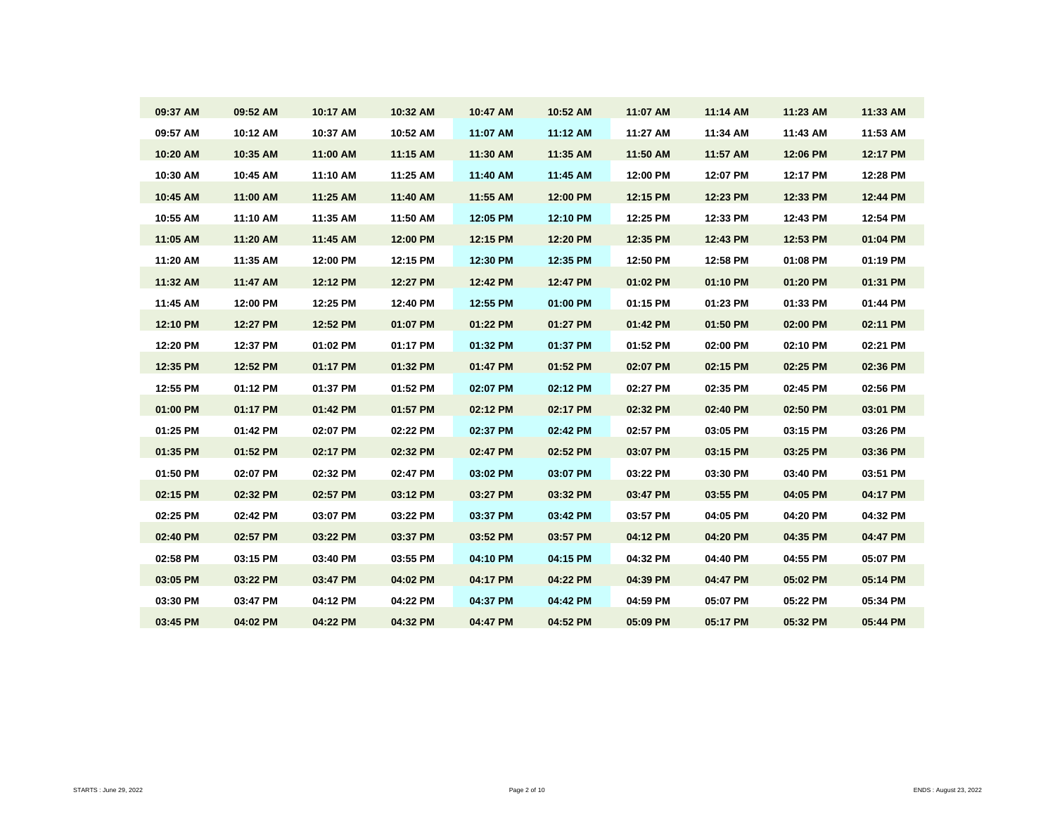| 09:37 AM | 09:52 AM | 10:17 AM | 10:32 AM | 10:47 AM | 10:52 AM | 11:07 AM | 11:14 AM | 11:23 AM | 11:33 AM |
|----------|----------|----------|----------|----------|----------|----------|----------|----------|----------|
| 09:57 AM | 10:12 AM | 10:37 AM | 10:52 AM | 11:07 AM | 11:12 AM | 11:27 AM | 11:34 AM | 11:43 AM | 11:53 AM |
| 10:20 AM | 10:35 AM | 11:00 AM | 11:15 AM | 11:30 AM | 11:35 AM | 11:50 AM | 11:57 AM | 12:06 PM | 12:17 PM |
| 10:30 AM | 10:45 AM | 11:10 AM | 11:25 AM | 11:40 AM | 11:45 AM | 12:00 PM | 12:07 PM | 12:17 PM | 12:28 PM |
| 10:45 AM | 11:00 AM | 11:25 AM | 11:40 AM | 11:55 AM | 12:00 PM | 12:15 PM | 12:23 PM | 12:33 PM | 12:44 PM |
| 10:55 AM | 11:10 AM | 11:35 AM | 11:50 AM | 12:05 PM | 12:10 PM | 12:25 PM | 12:33 PM | 12:43 PM | 12:54 PM |
| 11:05 AM | 11:20 AM | 11:45 AM | 12:00 PM | 12:15 PM | 12:20 PM | 12:35 PM | 12:43 PM | 12:53 PM | 01:04 PM |
| 11:20 AM | 11:35 AM | 12:00 PM | 12:15 PM | 12:30 PM | 12:35 PM | 12:50 PM | 12:58 PM | 01:08 PM | 01:19 PM |
| 11:32 AM | 11:47 AM | 12:12 PM | 12:27 PM | 12:42 PM | 12:47 PM | 01:02 PM | 01:10 PM | 01:20 PM | 01:31 PM |
| 11:45 AM | 12:00 PM | 12:25 PM | 12:40 PM | 12:55 PM | 01:00 PM | 01:15 PM | 01:23 PM | 01:33 PM | 01:44 PM |
| 12:10 PM | 12:27 PM | 12:52 PM | 01:07 PM | 01:22 PM | 01:27 PM | 01:42 PM | 01:50 PM | 02:00 PM | 02:11 PM |
| 12:20 PM | 12:37 PM | 01:02 PM | 01:17 PM | 01:32 PM | 01:37 PM | 01:52 PM | 02:00 PM | 02:10 PM | 02:21 PM |
| 12:35 PM | 12:52 PM | 01:17 PM | 01:32 PM | 01:47 PM | 01:52 PM | 02:07 PM | 02:15 PM | 02:25 PM | 02:36 PM |
| 12:55 PM | 01:12 PM | 01:37 PM | 01:52 PM | 02:07 PM | 02:12 PM | 02:27 PM | 02:35 PM | 02:45 PM | 02:56 PM |
| 01:00 PM | 01:17 PM | 01:42 PM | 01:57 PM | 02:12 PM | 02:17 PM | 02:32 PM | 02:40 PM | 02:50 PM | 03:01 PM |
| 01:25 PM | 01:42 PM | 02:07 PM | 02:22 PM | 02:37 PM | 02:42 PM | 02:57 PM | 03:05 PM | 03:15 PM | 03:26 PM |
| 01:35 PM | 01:52 PM | 02:17 PM | 02:32 PM | 02:47 PM | 02:52 PM | 03:07 PM | 03:15 PM | 03:25 PM | 03:36 PM |
| 01:50 PM | 02:07 PM | 02:32 PM | 02:47 PM | 03:02 PM | 03:07 PM | 03:22 PM | 03:30 PM | 03:40 PM | 03:51 PM |
| 02:15 PM | 02:32 PM | 02:57 PM | 03:12 PM | 03:27 PM | 03:32 PM | 03:47 PM | 03:55 PM | 04:05 PM | 04:17 PM |
| 02:25 PM | 02:42 PM | 03:07 PM | 03:22 PM | 03:37 PM | 03:42 PM | 03:57 PM | 04:05 PM | 04:20 PM | 04:32 PM |
| 02:40 PM | 02:57 PM | 03:22 PM | 03:37 PM | 03:52 PM | 03:57 PM | 04:12 PM | 04:20 PM | 04:35 PM | 04:47 PM |
| 02:58 PM | 03:15 PM | 03:40 PM | 03:55 PM | 04:10 PM | 04:15 PM | 04:32 PM | 04:40 PM | 04:55 PM | 05:07 PM |
| 03:05 PM | 03:22 PM | 03:47 PM | 04:02 PM | 04:17 PM | 04:22 PM | 04:39 PM | 04:47 PM | 05:02 PM | 05:14 PM |
| 03:30 PM | 03:47 PM | 04:12 PM | 04:22 PM | 04:37 PM | 04:42 PM | 04:59 PM | 05:07 PM | 05:22 PM | 05:34 PM |
| 03:45 PM | 04:02 PM | 04:22 PM | 04:32 PM | 04:47 PM | 04:52 PM | 05:09 PM | 05:17 PM | 05:32 PM | 05:44 PM |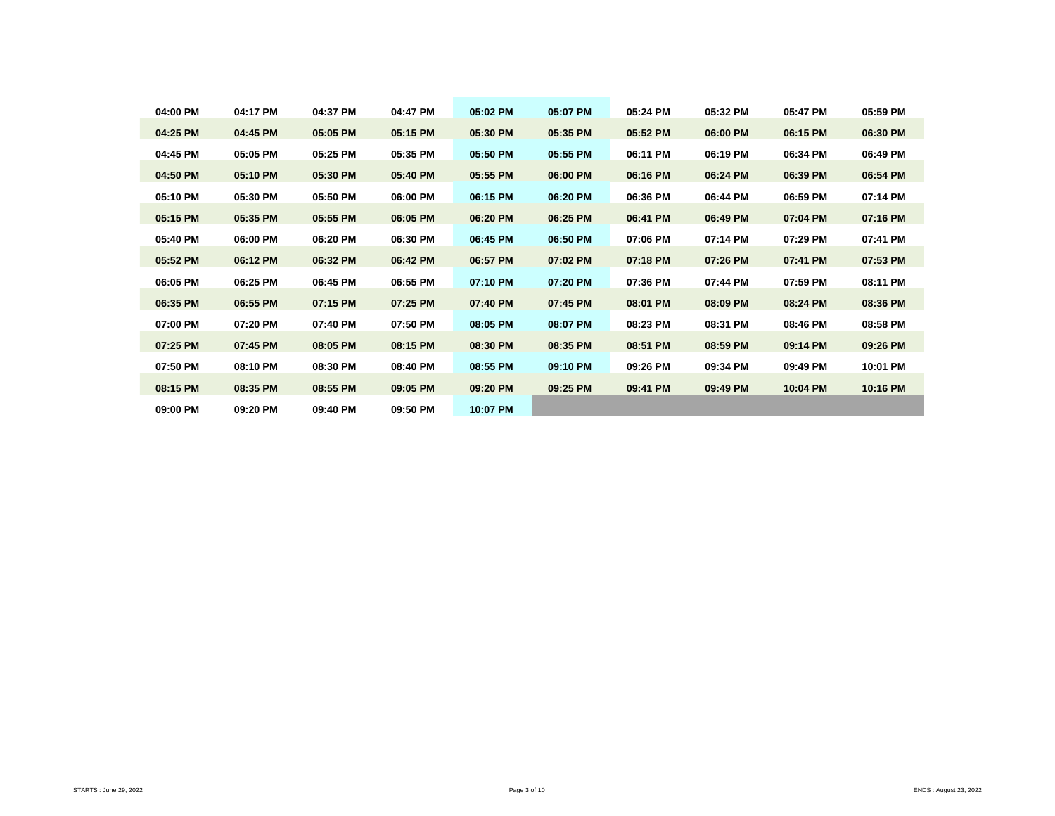| 04:00 PM | 04:17 PM | 04:37 PM | 04:47 PM | 05:02 PM | 05:07 PM | 05:24 PM | 05:32 PM | 05:47 PM | 05:59 PM |
|----------|----------|----------|----------|----------|----------|----------|----------|----------|----------|
| 04:25 PM | 04:45 PM | 05:05 PM | 05:15 PM | 05:30 PM | 05:35 PM | 05:52 PM | 06:00 PM | 06:15 PM | 06:30 PM |
| 04:45 PM | 05:05 PM | 05:25 PM | 05:35 PM | 05:50 PM | 05:55 PM | 06:11 PM | 06:19 PM | 06:34 PM | 06:49 PM |
| 04:50 PM | 05:10 PM | 05:30 PM | 05:40 PM | 05:55 PM | 06:00 PM | 06:16 PM | 06:24 PM | 06:39 PM | 06:54 PM |
| 05:10 PM | 05:30 PM | 05:50 PM | 06:00 PM | 06:15 PM | 06:20 PM | 06:36 PM | 06:44 PM | 06:59 PM | 07:14 PM |
| 05:15 PM | 05:35 PM | 05:55 PM | 06:05 PM | 06:20 PM | 06:25 PM | 06:41 PM | 06:49 PM | 07:04 PM | 07:16 PM |
| 05:40 PM | 06:00 PM | 06:20 PM | 06:30 PM | 06:45 PM | 06:50 PM | 07:06 PM | 07:14 PM | 07:29 PM | 07:41 PM |
| 05:52 PM | 06:12 PM | 06:32 PM | 06:42 PM | 06:57 PM | 07:02 PM | 07:18 PM | 07:26 PM | 07:41 PM | 07:53 PM |
| 06:05 PM | 06:25 PM | 06:45 PM | 06:55 PM | 07:10 PM | 07:20 PM | 07:36 PM | 07:44 PM | 07:59 PM | 08:11 PM |
| 06:35 PM | 06:55 PM | 07:15 PM | 07:25 PM | 07:40 PM | 07:45 PM | 08:01 PM | 08:09 PM | 08:24 PM | 08:36 PM |
| 07:00 PM | 07:20 PM | 07:40 PM | 07:50 PM | 08:05 PM | 08:07 PM | 08:23 PM | 08:31 PM | 08:46 PM | 08:58 PM |
| 07:25 PM | 07:45 PM | 08:05 PM | 08:15 PM | 08:30 PM | 08:35 PM | 08:51 PM | 08:59 PM | 09:14 PM | 09:26 PM |
| 07:50 PM | 08:10 PM | 08:30 PM | 08:40 PM | 08:55 PM | 09:10 PM | 09:26 PM | 09:34 PM | 09:49 PM | 10:01 PM |
| 08:15 PM | 08:35 PM | 08:55 PM | 09:05 PM | 09:20 PM | 09:25 PM | 09:41 PM | 09:49 PM | 10:04 PM | 10:16 PM |
| 09:00 PM | 09:20 PM | 09:40 PM | 09:50 PM | 10:07 PM |          |          |          |          |          |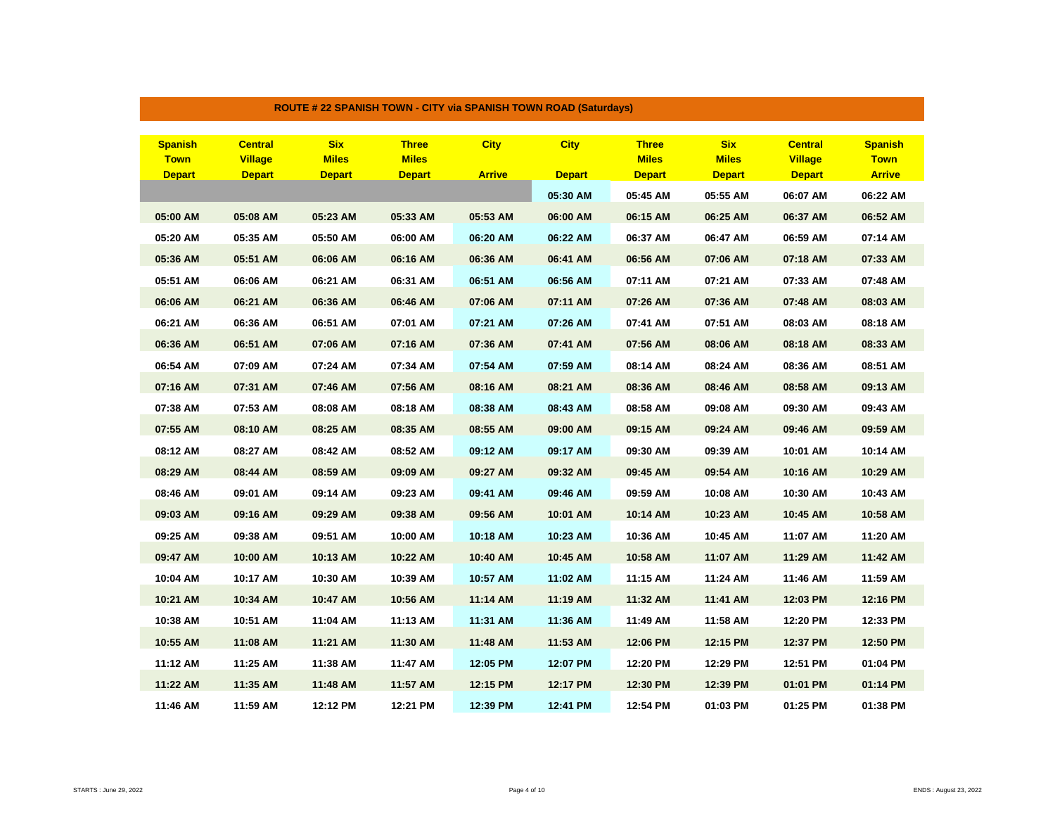| <b>Spanish</b> | <b>Central</b> | <b>Six</b>    | <b>Three</b>  | <b>City</b>   | <b>City</b>   | <b>Three</b>  | <b>Six</b>    | <b>Central</b> | <b>Spanish</b> |
|----------------|----------------|---------------|---------------|---------------|---------------|---------------|---------------|----------------|----------------|
| <b>Town</b>    | <b>Village</b> | <b>Miles</b>  | <b>Miles</b>  |               |               | <b>Miles</b>  | <b>Miles</b>  | <b>Village</b> | <b>Town</b>    |
| <b>Depart</b>  | <b>Depart</b>  | <b>Depart</b> | <b>Depart</b> | <b>Arrive</b> | <b>Depart</b> | <b>Depart</b> | <b>Depart</b> | <b>Depart</b>  | <b>Arrive</b>  |
|                |                |               |               |               | 05:30 AM      | 05:45 AM      | 05:55 AM      | 06:07 AM       | 06:22 AM       |
| 05:00 AM       | 05:08 AM       | 05:23 AM      | 05:33 AM      | 05:53 AM      | 06:00 AM      | 06:15 AM      | 06:25 AM      | 06:37 AM       | 06:52 AM       |
| 05:20 AM       | 05:35 AM       | 05:50 AM      | 06:00 AM      | 06:20 AM      | 06:22 AM      | 06:37 AM      | 06:47 AM      | 06:59 AM       | 07:14 AM       |
| 05:36 AM       | 05:51 AM       | 06:06 AM      | 06:16 AM      | 06:36 AM      | 06:41 AM      | 06:56 AM      | 07:06 AM      | 07:18 AM       | 07:33 AM       |
| 05:51 AM       | 06:06 AM       | 06:21 AM      | 06:31 AM      | 06:51 AM      | 06:56 AM      | 07:11 AM      | 07:21 AM      | 07:33 AM       | 07:48 AM       |
| 06:06 AM       | 06:21 AM       | 06:36 AM      | 06:46 AM      | 07:06 AM      | 07:11 AM      | 07:26 AM      | 07:36 AM      | 07:48 AM       | 08:03 AM       |
| 06:21 AM       | 06:36 AM       | 06:51 AM      | 07:01 AM      | 07:21 AM      | 07:26 AM      | 07:41 AM      | 07:51 AM      | 08:03 AM       | 08:18 AM       |
| 06:36 AM       | 06:51 AM       | 07:06 AM      | 07:16 AM      | 07:36 AM      | 07:41 AM      | 07:56 AM      | 08:06 AM      | 08:18 AM       | 08:33 AM       |
| 06:54 AM       | 07:09 AM       | 07:24 AM      | 07:34 AM      | 07:54 AM      | 07:59 AM      | 08:14 AM      | 08:24 AM      | 08:36 AM       | 08:51 AM       |
| 07:16 AM       | 07:31 AM       | 07:46 AM      | 07:56 AM      | 08:16 AM      | 08:21 AM      | 08:36 AM      | 08:46 AM      | 08:58 AM       | 09:13 AM       |
| 07:38 AM       | 07:53 AM       | 08:08 AM      | 08:18 AM      | 08:38 AM      | 08:43 AM      | 08:58 AM      | 09:08 AM      | 09:30 AM       | 09:43 AM       |
| 07:55 AM       | 08:10 AM       | 08:25 AM      | 08:35 AM      | 08:55 AM      | 09:00 AM      | 09:15 AM      | 09:24 AM      | 09:46 AM       | 09:59 AM       |
| 08:12 AM       | 08:27 AM       | 08:42 AM      | 08:52 AM      | 09:12 AM      | 09:17 AM      | 09:30 AM      | 09:39 AM      | 10:01 AM       | 10:14 AM       |
| 08:29 AM       | 08:44 AM       | 08:59 AM      | 09:09 AM      | 09:27 AM      | 09:32 AM      | 09:45 AM      | 09:54 AM      | 10:16 AM       | 10:29 AM       |
| 08:46 AM       | 09:01 AM       | 09:14 AM      | 09:23 AM      | 09:41 AM      | 09:46 AM      | 09:59 AM      | 10:08 AM      | 10:30 AM       | 10:43 AM       |
| 09:03 AM       | 09:16 AM       | 09:29 AM      | 09:38 AM      | 09:56 AM      | 10:01 AM      | 10:14 AM      | 10:23 AM      | 10:45 AM       | 10:58 AM       |
| 09:25 AM       | 09:38 AM       | 09:51 AM      | 10:00 AM      | 10:18 AM      | 10:23 AM      | 10:36 AM      | 10:45 AM      | 11:07 AM       | 11:20 AM       |
| 09:47 AM       | 10:00 AM       | 10:13 AM      | 10:22 AM      | 10:40 AM      | 10:45 AM      | 10:58 AM      | 11:07 AM      | 11:29 AM       | 11:42 AM       |
| 10:04 AM       | 10:17 AM       | 10:30 AM      | 10:39 AM      | 10:57 AM      | 11:02 AM      | 11:15 AM      | 11:24 AM      | 11:46 AM       | 11:59 AM       |
| 10:21 AM       | 10:34 AM       | 10:47 AM      | 10:56 AM      | 11:14 AM      | 11:19 AM      | 11:32 AM      | 11:41 AM      | 12:03 PM       | 12:16 PM       |
| 10:38 AM       | 10:51 AM       | 11:04 AM      | 11:13 AM      | 11:31 AM      | 11:36 AM      | 11:49 AM      | 11:58 AM      | 12:20 PM       | 12:33 PM       |
| 10:55 AM       | 11:08 AM       | 11:21 AM      | 11:30 AM      | 11:48 AM      | 11:53 AM      | 12:06 PM      | 12:15 PM      | 12:37 PM       | 12:50 PM       |
| 11:12 AM       | 11:25 AM       | 11:38 AM      | 11:47 AM      | 12:05 PM      | 12:07 PM      | 12:20 PM      | 12:29 PM      | 12:51 PM       | 01:04 PM       |
| 11:22 AM       | 11:35 AM       | 11:48 AM      | 11:57 AM      | 12:15 PM      | 12:17 PM      | 12:30 PM      | 12:39 PM      | 01:01 PM       | 01:14 PM       |
| 11:46 AM       | 11:59 AM       | 12:12 PM      | 12:21 PM      | 12:39 PM      | 12:41 PM      | 12:54 PM      | 01:03 PM      | 01:25 PM       | 01:38 PM       |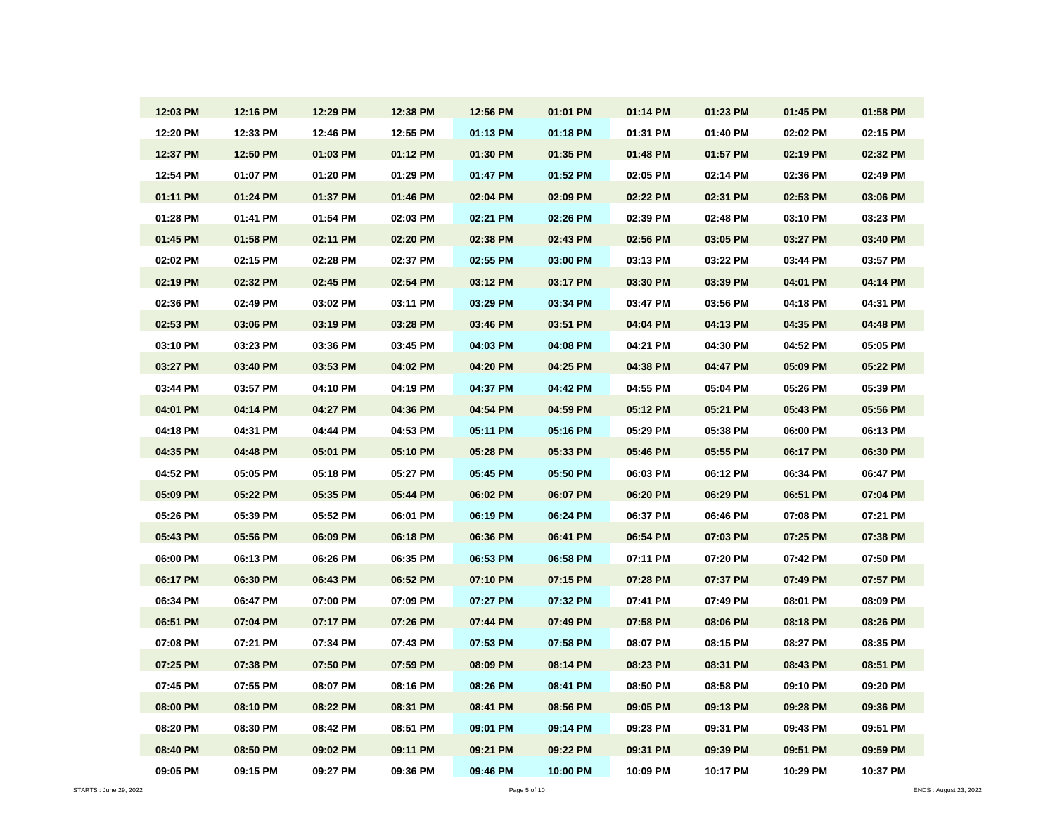| 12:03 PM | 12:16 PM | 12:29 PM | 12:38 PM | 12:56 PM | 01:01 PM | 01:14 PM | 01:23 PM | 01:45 PM | 01:58 PM |
|----------|----------|----------|----------|----------|----------|----------|----------|----------|----------|
| 12:20 PM | 12:33 PM | 12:46 PM | 12:55 PM | 01:13 PM | 01:18 PM | 01:31 PM | 01:40 PM | 02:02 PM | 02:15 PM |
| 12:37 PM | 12:50 PM | 01:03 PM | 01:12 PM | 01:30 PM | 01:35 PM | 01:48 PM | 01:57 PM | 02:19 PM | 02:32 PM |
| 12:54 PM | 01:07 PM | 01:20 PM | 01:29 PM | 01:47 PM | 01:52 PM | 02:05 PM | 02:14 PM | 02:36 PM | 02:49 PM |
| 01:11 PM | 01:24 PM | 01:37 PM | 01:46 PM | 02:04 PM | 02:09 PM | 02:22 PM | 02:31 PM | 02:53 PM | 03:06 PM |
| 01:28 PM | 01:41 PM | 01:54 PM | 02:03 PM | 02:21 PM | 02:26 PM | 02:39 PM | 02:48 PM | 03:10 PM | 03:23 PM |
| 01:45 PM | 01:58 PM | 02:11 PM | 02:20 PM | 02:38 PM | 02:43 PM | 02:56 PM | 03:05 PM | 03:27 PM | 03:40 PM |
| 02:02 PM | 02:15 PM | 02:28 PM | 02:37 PM | 02:55 PM | 03:00 PM | 03:13 PM | 03:22 PM | 03:44 PM | 03:57 PM |
| 02:19 PM | 02:32 PM | 02:45 PM | 02:54 PM | 03:12 PM | 03:17 PM | 03:30 PM | 03:39 PM | 04:01 PM | 04:14 PM |
| 02:36 PM | 02:49 PM | 03:02 PM | 03:11 PM | 03:29 PM | 03:34 PM | 03:47 PM | 03:56 PM | 04:18 PM | 04:31 PM |
| 02:53 PM | 03:06 PM | 03:19 PM | 03:28 PM | 03:46 PM | 03:51 PM | 04:04 PM | 04:13 PM | 04:35 PM | 04:48 PM |
| 03:10 PM | 03:23 PM | 03:36 PM | 03:45 PM | 04:03 PM | 04:08 PM | 04:21 PM | 04:30 PM | 04:52 PM | 05:05 PM |
| 03:27 PM | 03:40 PM | 03:53 PM | 04:02 PM | 04:20 PM | 04:25 PM | 04:38 PM | 04:47 PM | 05:09 PM | 05:22 PM |
| 03:44 PM | 03:57 PM | 04:10 PM | 04:19 PM | 04:37 PM | 04:42 PM | 04:55 PM | 05:04 PM | 05:26 PM | 05:39 PM |
| 04:01 PM | 04:14 PM | 04:27 PM | 04:36 PM | 04:54 PM | 04:59 PM | 05:12 PM | 05:21 PM | 05:43 PM | 05:56 PM |
| 04:18 PM | 04:31 PM | 04:44 PM | 04:53 PM | 05:11 PM | 05:16 PM | 05:29 PM | 05:38 PM | 06:00 PM | 06:13 PM |
| 04:35 PM | 04:48 PM | 05:01 PM | 05:10 PM | 05:28 PM | 05:33 PM | 05:46 PM | 05:55 PM | 06:17 PM | 06:30 PM |
| 04:52 PM | 05:05 PM | 05:18 PM | 05:27 PM | 05:45 PM | 05:50 PM | 06:03 PM | 06:12 PM | 06:34 PM | 06:47 PM |
| 05:09 PM | 05:22 PM | 05:35 PM | 05:44 PM | 06:02 PM | 06:07 PM | 06:20 PM | 06:29 PM | 06:51 PM | 07:04 PM |
| 05:26 PM | 05:39 PM | 05:52 PM | 06:01 PM | 06:19 PM | 06:24 PM | 06:37 PM | 06:46 PM | 07:08 PM | 07:21 PM |
| 05:43 PM | 05:56 PM | 06:09 PM | 06:18 PM | 06:36 PM | 06:41 PM | 06:54 PM | 07:03 PM | 07:25 PM | 07:38 PM |
| 06:00 PM | 06:13 PM | 06:26 PM | 06:35 PM | 06:53 PM | 06:58 PM | 07:11 PM | 07:20 PM | 07:42 PM | 07:50 PM |
| 06:17 PM | 06:30 PM | 06:43 PM | 06:52 PM | 07:10 PM | 07:15 PM | 07:28 PM | 07:37 PM | 07:49 PM | 07:57 PM |
| 06:34 PM | 06:47 PM | 07:00 PM | 07:09 PM | 07:27 PM | 07:32 PM | 07:41 PM | 07:49 PM | 08:01 PM | 08:09 PM |
| 06:51 PM | 07:04 PM | 07:17 PM | 07:26 PM | 07:44 PM | 07:49 PM | 07:58 PM | 08:06 PM | 08:18 PM | 08:26 PM |
| 07:08 PM | 07:21 PM | 07:34 PM | 07:43 PM | 07:53 PM | 07:58 PM | 08:07 PM | 08:15 PM | 08:27 PM | 08:35 PM |
| 07:25 PM | 07:38 PM | 07:50 PM | 07:59 PM | 08:09 PM | 08:14 PM | 08:23 PM | 08:31 PM | 08:43 PM | 08:51 PM |
| 07:45 PM | 07:55 PM | 08:07 PM | 08:16 PM | 08:26 PM | 08:41 PM | 08:50 PM | 08:58 PM | 09:10 PM | 09:20 PM |
| 08:00 PM | 08:10 PM | 08:22 PM | 08:31 PM | 08:41 PM | 08:56 PM | 09:05 PM | 09:13 PM | 09:28 PM | 09:36 PM |
| 08:20 PM | 08:30 PM | 08:42 PM | 08:51 PM | 09:01 PM | 09:14 PM | 09:23 PM | 09:31 PM | 09:43 PM | 09:51 PM |
| 08:40 PM | 08:50 PM | 09:02 PM | 09:11 PM | 09:21 PM | 09:22 PM | 09:31 PM | 09:39 PM | 09:51 PM | 09:59 PM |
| 09:05 PM | 09:15 PM | 09:27 PM | 09:36 PM | 09:46 PM | 10:00 PM | 10:09 PM | 10:17 PM | 10:29 PM | 10:37 PM |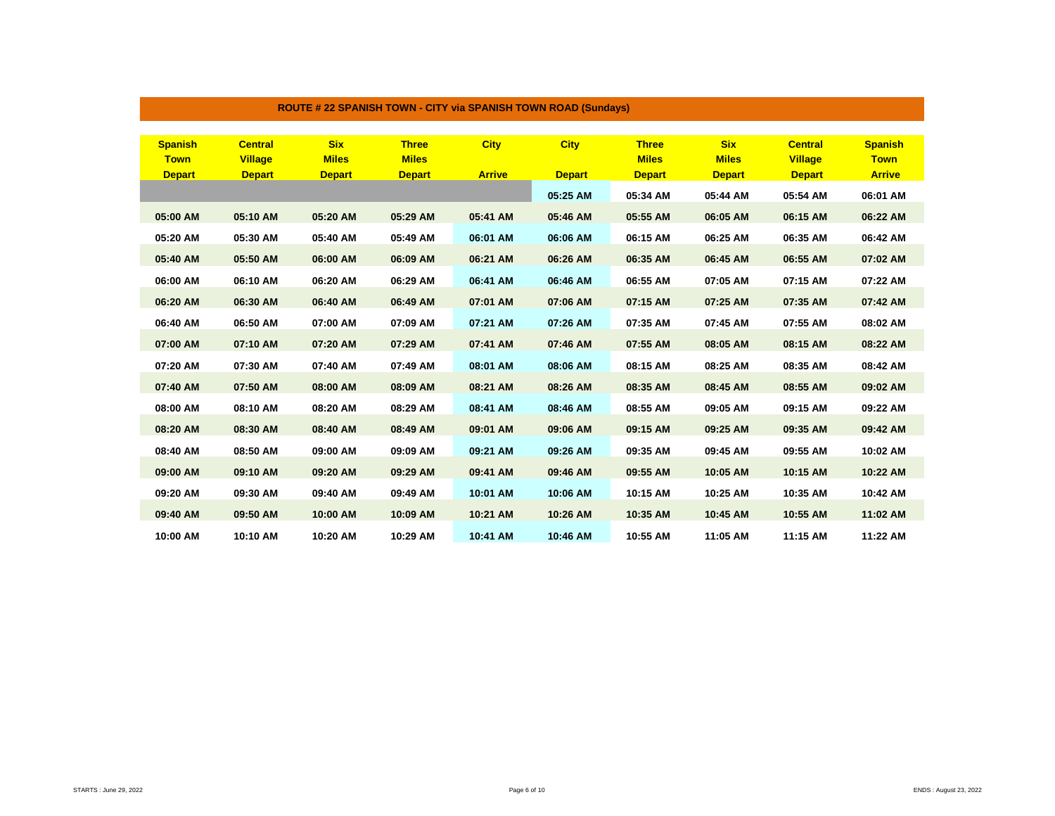| <b>Spanish</b> | <b>Central</b> | <b>Six</b>    | <b>Three</b>  | <b>City</b>   | <b>City</b>   | <b>Three</b>  | <b>Six</b>    | <b>Central</b> | <b>Spanish</b> |
|----------------|----------------|---------------|---------------|---------------|---------------|---------------|---------------|----------------|----------------|
| <b>Town</b>    | <b>Village</b> | <b>Miles</b>  | <b>Miles</b>  |               |               | <b>Miles</b>  | <b>Miles</b>  | <b>Village</b> | <b>Town</b>    |
| <b>Depart</b>  | <b>Depart</b>  | <b>Depart</b> | <b>Depart</b> | <b>Arrive</b> | <b>Depart</b> | <b>Depart</b> | <b>Depart</b> | <b>Depart</b>  | <b>Arrive</b>  |
|                |                |               |               |               | 05:25 AM      | 05:34 AM      | 05:44 AM      | 05:54 AM       | 06:01 AM       |
| 05:00 AM       | 05:10 AM       | 05:20 AM      | 05:29 AM      | 05:41 AM      | 05:46 AM      | 05:55 AM      | 06:05 AM      | 06:15 AM       | 06:22 AM       |
| 05:20 AM       | 05:30 AM       | 05:40 AM      | 05:49 AM      | 06:01 AM      | 06:06 AM      | 06:15 AM      | 06:25 AM      | 06:35 AM       | 06:42 AM       |
| 05:40 AM       | 05:50 AM       | 06:00 AM      | 06:09 AM      | 06:21 AM      | 06:26 AM      | 06:35 AM      | 06:45 AM      | 06:55 AM       | 07:02 AM       |
| 06:00 AM       | 06:10 AM       | 06:20 AM      | 06:29 AM      | 06:41 AM      | 06:46 AM      | 06:55 AM      | 07:05 AM      | 07:15 AM       | 07:22 AM       |
| 06:20 AM       | 06:30 AM       | 06:40 AM      | 06:49 AM      | 07:01 AM      | 07:06 AM      | 07:15 AM      | 07:25 AM      | 07:35 AM       | 07:42 AM       |
| 06:40 AM       | 06:50 AM       | 07:00 AM      | 07:09 AM      | 07:21 AM      | 07:26 AM      | 07:35 AM      | 07:45 AM      | 07:55 AM       | 08:02 AM       |
| 07:00 AM       | 07:10 AM       | 07:20 AM      | 07:29 AM      | 07:41 AM      | 07:46 AM      | 07:55 AM      | 08:05 AM      | 08:15 AM       | 08:22 AM       |
| 07:20 AM       | 07:30 AM       | 07:40 AM      | 07:49 AM      | 08:01 AM      | 08:06 AM      | 08:15 AM      | 08:25 AM      | 08:35 AM       | 08:42 AM       |
| 07:40 AM       | 07:50 AM       | 08:00 AM      | 08:09 AM      | 08:21 AM      | 08:26 AM      | 08:35 AM      | 08:45 AM      | 08:55 AM       | 09:02 AM       |
| 08:00 AM       | 08:10 AM       | 08:20 AM      | 08:29 AM      | 08:41 AM      | 08:46 AM      | 08:55 AM      | 09:05 AM      | 09:15 AM       | 09:22 AM       |
| 08:20 AM       | 08:30 AM       | 08:40 AM      | 08:49 AM      | 09:01 AM      | 09:06 AM      | 09:15 AM      | 09:25 AM      | 09:35 AM       | 09:42 AM       |
| 08:40 AM       | 08:50 AM       | 09:00 AM      | 09:09 AM      | 09:21 AM      | 09:26 AM      | 09:35 AM      | 09:45 AM      | 09:55 AM       | 10:02 AM       |
| 09:00 AM       | 09:10 AM       | 09:20 AM      | 09:29 AM      | 09:41 AM      | 09:46 AM      | 09:55 AM      | 10:05 AM      | 10:15 AM       | 10:22 AM       |
| 09:20 AM       | 09:30 AM       | 09:40 AM      | 09:49 AM      | 10:01 AM      | 10:06 AM      | 10:15 AM      | 10:25 AM      | 10:35 AM       | 10:42 AM       |
| 09:40 AM       | 09:50 AM       | 10:00 AM      | 10:09 AM      | 10:21 AM      | 10:26 AM      | 10:35 AM      | 10:45 AM      | 10:55 AM       | 11:02 AM       |
| 10:00 AM       | 10:10 AM       | 10:20 AM      | 10:29 AM      | 10:41 AM      | 10:46 AM      | 10:55 AM      | 11:05 AM      | 11:15 AM       | 11:22 AM       |

## **ROUTE # 22 SPANISH TOWN - CITY via SPANISH TOWN ROAD (Sundays)**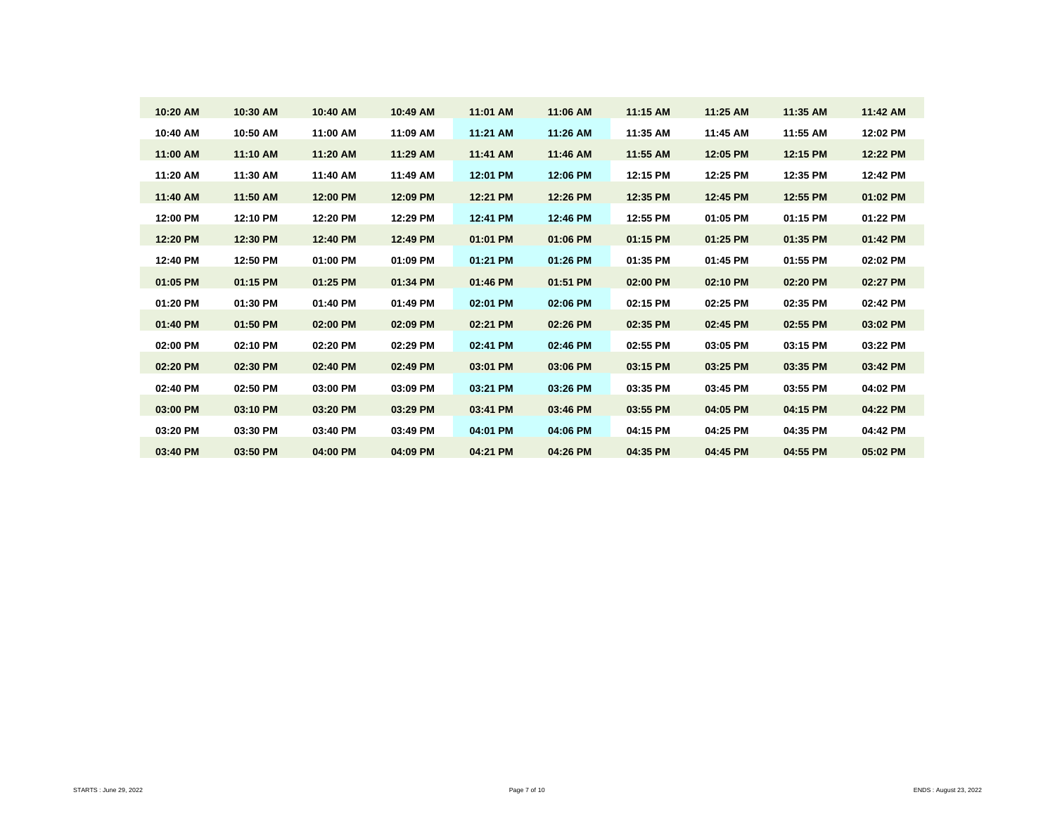| 10:20 AM | 10:30 AM | 10:40 AM | 10:49 AM | 11:01 AM | 11:06 AM | 11:15 AM | 11:25 AM | 11:35 AM | 11:42 AM |
|----------|----------|----------|----------|----------|----------|----------|----------|----------|----------|
| 10:40 AM | 10:50 AM | 11:00 AM | 11:09 AM | 11:21 AM | 11:26 AM | 11:35 AM | 11:45 AM | 11:55 AM | 12:02 PM |
| 11:00 AM | 11:10 AM | 11:20 AM | 11:29 AM | 11:41 AM | 11:46 AM | 11:55 AM | 12:05 PM | 12:15 PM | 12:22 PM |
| 11:20 AM | 11:30 AM | 11:40 AM | 11:49 AM | 12:01 PM | 12:06 PM | 12:15 PM | 12:25 PM | 12:35 PM | 12:42 PM |
| 11:40 AM | 11:50 AM | 12:00 PM | 12:09 PM | 12:21 PM | 12:26 PM | 12:35 PM | 12:45 PM | 12:55 PM | 01:02 PM |
| 12:00 PM | 12:10 PM | 12:20 PM | 12:29 PM | 12:41 PM | 12:46 PM | 12:55 PM | 01:05 PM | 01:15 PM | 01:22 PM |
| 12:20 PM | 12:30 PM | 12:40 PM | 12:49 PM | 01:01 PM | 01:06 PM | 01:15 PM | 01:25 PM | 01:35 PM | 01:42 PM |
| 12:40 PM | 12:50 PM | 01:00 PM | 01:09 PM | 01:21 PM | 01:26 PM | 01:35 PM | 01:45 PM | 01:55 PM | 02:02 PM |
| 01:05 PM | 01:15 PM | 01:25 PM | 01:34 PM | 01:46 PM | 01:51 PM | 02:00 PM | 02:10 PM | 02:20 PM | 02:27 PM |
| 01:20 PM | 01:30 PM | 01:40 PM | 01:49 PM | 02:01 PM | 02:06 PM | 02:15 PM | 02:25 PM | 02:35 PM | 02:42 PM |
| 01:40 PM | 01:50 PM | 02:00 PM | 02:09 PM | 02:21 PM | 02:26 PM | 02:35 PM | 02:45 PM | 02:55 PM | 03:02 PM |
| 02:00 PM | 02:10 PM | 02:20 PM | 02:29 PM | 02:41 PM | 02:46 PM | 02:55 PM | 03:05 PM | 03:15 PM | 03:22 PM |
| 02:20 PM | 02:30 PM | 02:40 PM | 02:49 PM | 03:01 PM | 03:06 PM | 03:15 PM | 03:25 PM | 03:35 PM | 03:42 PM |
| 02:40 PM | 02:50 PM | 03:00 PM | 03:09 PM | 03:21 PM | 03:26 PM | 03:35 PM | 03:45 PM | 03:55 PM | 04:02 PM |
| 03:00 PM | 03:10 PM | 03:20 PM | 03:29 PM | 03:41 PM | 03:46 PM | 03:55 PM | 04:05 PM | 04:15 PM | 04:22 PM |
| 03:20 PM | 03:30 PM | 03:40 PM | 03:49 PM | 04:01 PM | 04:06 PM | 04:15 PM | 04:25 PM | 04:35 PM | 04:42 PM |
| 03:40 PM | 03:50 PM | 04:00 PM | 04:09 PM | 04:21 PM | 04:26 PM | 04:35 PM | 04:45 PM | 04:55 PM | 05:02 PM |
|          |          |          |          |          |          |          |          |          |          |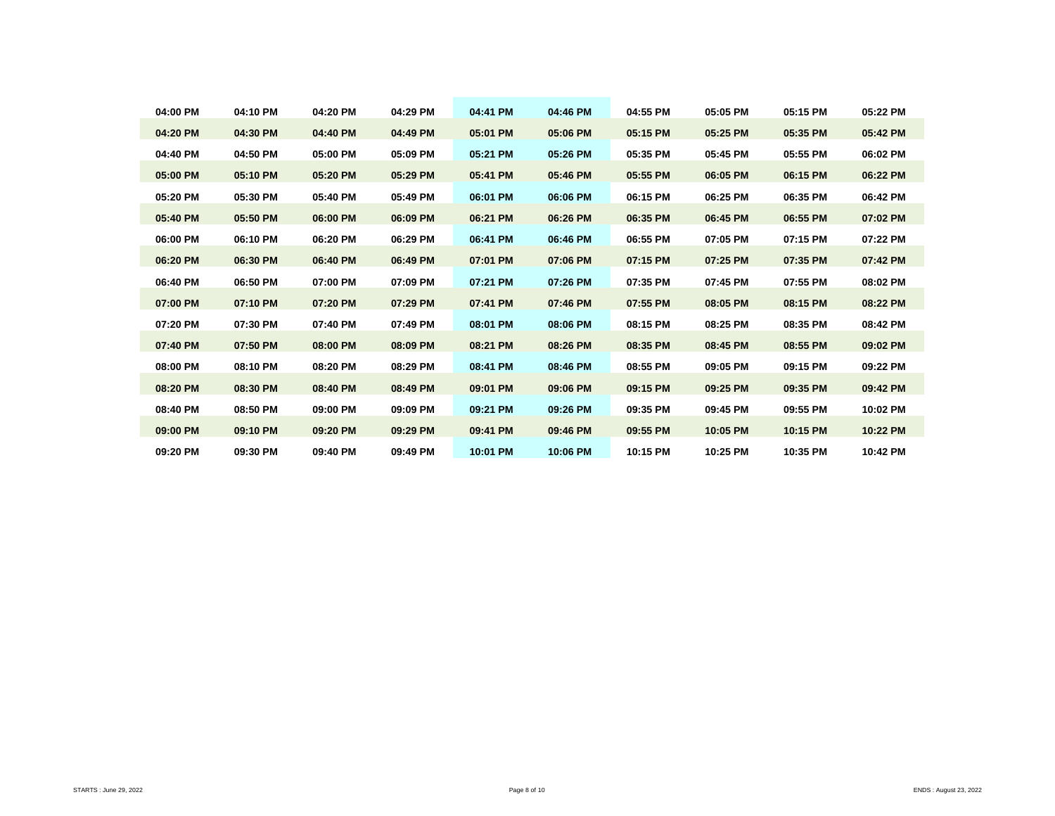| 04:00 PM | 04:10 PM | 04:20 PM | 04:29 PM | 04:41 PM | 04:46 PM | 04:55 PM | 05:05 PM | 05:15 PM | 05:22 PM |
|----------|----------|----------|----------|----------|----------|----------|----------|----------|----------|
| 04:20 PM | 04:30 PM | 04:40 PM | 04:49 PM | 05:01 PM | 05:06 PM | 05:15 PM | 05:25 PM | 05:35 PM | 05:42 PM |
| 04:40 PM | 04:50 PM | 05:00 PM | 05:09 PM | 05:21 PM | 05:26 PM | 05:35 PM | 05:45 PM | 05:55 PM | 06:02 PM |
| 05:00 PM | 05:10 PM | 05:20 PM | 05:29 PM | 05:41 PM | 05:46 PM | 05:55 PM | 06:05 PM | 06:15 PM | 06:22 PM |
| 05:20 PM | 05:30 PM | 05:40 PM | 05:49 PM | 06:01 PM | 06:06 PM | 06:15 PM | 06:25 PM | 06:35 PM | 06:42 PM |
| 05:40 PM | 05:50 PM | 06:00 PM | 06:09 PM | 06:21 PM | 06:26 PM | 06:35 PM | 06:45 PM | 06:55 PM | 07:02 PM |
| 06:00 PM | 06:10 PM | 06:20 PM | 06:29 PM | 06:41 PM | 06:46 PM | 06:55 PM | 07:05 PM | 07:15 PM | 07:22 PM |
| 06:20 PM | 06:30 PM | 06:40 PM | 06:49 PM | 07:01 PM | 07:06 PM | 07:15 PM | 07:25 PM | 07:35 PM | 07:42 PM |
| 06:40 PM | 06:50 PM | 07:00 PM | 07:09 PM | 07:21 PM | 07:26 PM | 07:35 PM | 07:45 PM | 07:55 PM | 08:02 PM |
| 07:00 PM | 07:10 PM | 07:20 PM | 07:29 PM | 07:41 PM | 07:46 PM | 07:55 PM | 08:05 PM | 08:15 PM | 08:22 PM |
| 07:20 PM | 07:30 PM | 07:40 PM | 07:49 PM | 08:01 PM | 08:06 PM | 08:15 PM | 08:25 PM | 08:35 PM | 08:42 PM |
| 07:40 PM | 07:50 PM | 08:00 PM | 08:09 PM | 08:21 PM | 08:26 PM | 08:35 PM | 08:45 PM | 08:55 PM | 09:02 PM |
| 08:00 PM | 08:10 PM | 08:20 PM | 08:29 PM | 08:41 PM | 08:46 PM | 08:55 PM | 09:05 PM | 09:15 PM | 09:22 PM |
| 08:20 PM | 08:30 PM | 08:40 PM | 08:49 PM | 09:01 PM | 09:06 PM | 09:15 PM | 09:25 PM | 09:35 PM | 09:42 PM |
| 08:40 PM | 08:50 PM | 09:00 PM | 09:09 PM | 09:21 PM | 09:26 PM | 09:35 PM | 09:45 PM | 09:55 PM | 10:02 PM |
| 09:00 PM | 09:10 PM | 09:20 PM | 09:29 PM | 09:41 PM | 09:46 PM | 09:55 PM | 10:05 PM | 10:15 PM | 10:22 PM |
| 09:20 PM | 09:30 PM | 09:40 PM | 09:49 PM | 10:01 PM | 10:06 PM | 10:15 PM | 10:25 PM | 10:35 PM | 10:42 PM |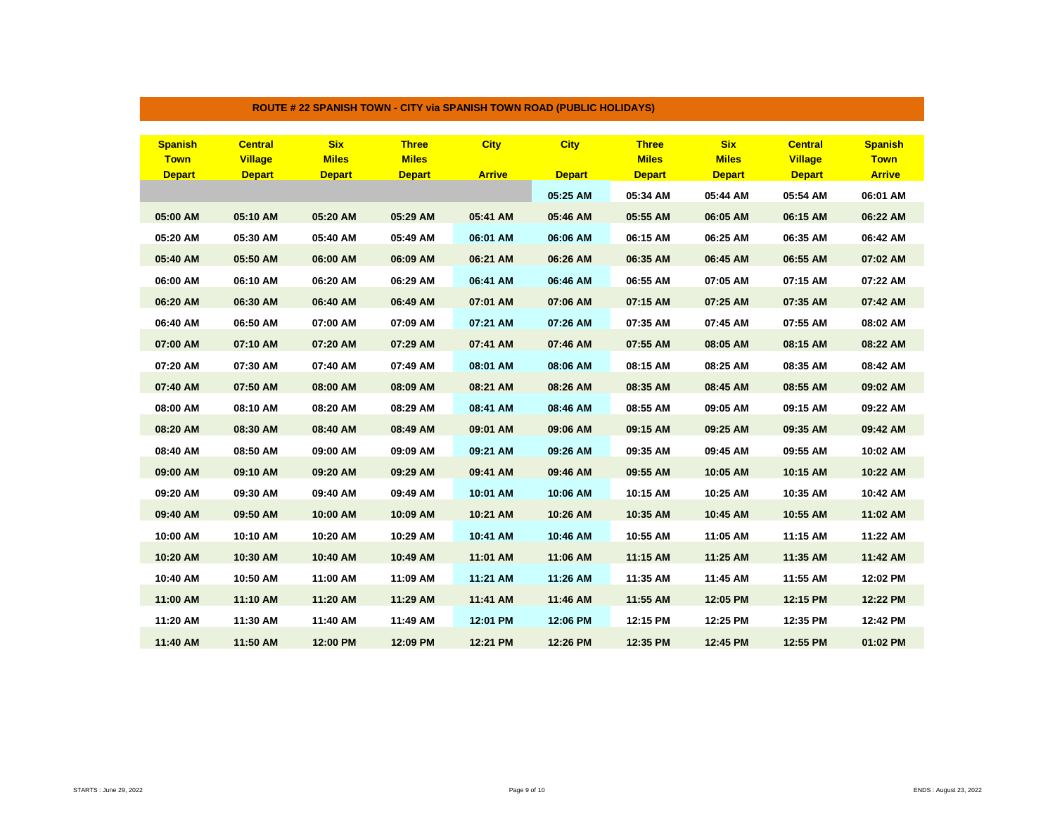| <b>Spanish</b> | <b>Central</b> | <b>Six</b>    | <b>Three</b>  | <b>City</b>   | <b>City</b>   | <b>Three</b>  | <b>Six</b>    | <b>Central</b> | <b>Spanish</b> |
|----------------|----------------|---------------|---------------|---------------|---------------|---------------|---------------|----------------|----------------|
| <b>Town</b>    | <b>Village</b> | <b>Miles</b>  | <b>Miles</b>  |               |               | <b>Miles</b>  | <b>Miles</b>  | <b>Village</b> | <b>Town</b>    |
| <b>Depart</b>  | <b>Depart</b>  | <b>Depart</b> | <b>Depart</b> | <b>Arrive</b> | <b>Depart</b> | <b>Depart</b> | <b>Depart</b> | <b>Depart</b>  | <b>Arrive</b>  |
|                |                |               |               |               | 05:25 AM      | 05:34 AM      | 05:44 AM      | 05:54 AM       | 06:01 AM       |
| 05:00 AM       | 05:10 AM       | 05:20 AM      | 05:29 AM      | 05:41 AM      | 05:46 AM      | 05:55 AM      | 06:05 AM      | 06:15 AM       | 06:22 AM       |
| 05:20 AM       | 05:30 AM       | 05:40 AM      | 05:49 AM      | 06:01 AM      | 06:06 AM      | 06:15 AM      | 06:25 AM      | 06:35 AM       | 06:42 AM       |
| 05:40 AM       | 05:50 AM       | 06:00 AM      | 06:09 AM      | 06:21 AM      | 06:26 AM      | 06:35 AM      | 06:45 AM      | 06:55 AM       | 07:02 AM       |
| 06:00 AM       | 06:10 AM       | 06:20 AM      | 06:29 AM      | 06:41 AM      | 06:46 AM      | 06:55 AM      | 07:05 AM      | 07:15 AM       | 07:22 AM       |
| 06:20 AM       | 06:30 AM       | 06:40 AM      | 06:49 AM      | 07:01 AM      | 07:06 AM      | 07:15 AM      | 07:25 AM      | 07:35 AM       | 07:42 AM       |
| 06:40 AM       | 06:50 AM       | 07:00 AM      | 07:09 AM      | 07:21 AM      | 07:26 AM      | 07:35 AM      | 07:45 AM      | 07:55 AM       | 08:02 AM       |
| 07:00 AM       | 07:10 AM       | 07:20 AM      | 07:29 AM      | 07:41 AM      | 07:46 AM      | 07:55 AM      | 08:05 AM      | 08:15 AM       | 08:22 AM       |
| 07:20 AM       | 07:30 AM       | 07:40 AM      | 07:49 AM      | 08:01 AM      | 08:06 AM      | 08:15 AM      | 08:25 AM      | 08:35 AM       | 08:42 AM       |
| 07:40 AM       | 07:50 AM       | 08:00 AM      | 08:09 AM      | 08:21 AM      | 08:26 AM      | 08:35 AM      | 08:45 AM      | 08:55 AM       | 09:02 AM       |
| 08:00 AM       | 08:10 AM       | 08:20 AM      | 08:29 AM      | 08:41 AM      | 08:46 AM      | 08:55 AM      | 09:05 AM      | 09:15 AM       | 09:22 AM       |
| 08:20 AM       | 08:30 AM       | 08:40 AM      | 08:49 AM      | 09:01 AM      | 09:06 AM      | 09:15 AM      | 09:25 AM      | 09:35 AM       | 09:42 AM       |
| 08:40 AM       | 08:50 AM       | 09:00 AM      | 09:09 AM      | 09:21 AM      | 09:26 AM      | 09:35 AM      | 09:45 AM      | 09:55 AM       | 10:02 AM       |
| 09:00 AM       | 09:10 AM       | 09:20 AM      | 09:29 AM      | 09:41 AM      | 09:46 AM      | 09:55 AM      | 10:05 AM      | 10:15 AM       | 10:22 AM       |
| 09:20 AM       | 09:30 AM       | 09:40 AM      | 09:49 AM      | 10:01 AM      | 10:06 AM      | 10:15 AM      | 10:25 AM      | 10:35 AM       | 10:42 AM       |
| 09:40 AM       | 09:50 AM       | 10:00 AM      | 10:09 AM      | 10:21 AM      | 10:26 AM      | 10:35 AM      | 10:45 AM      | 10:55 AM       | 11:02 AM       |
| 10:00 AM       | 10:10 AM       | 10:20 AM      | 10:29 AM      | 10:41 AM      | 10:46 AM      | 10:55 AM      | 11:05 AM      | 11:15 AM       | 11:22 AM       |
| 10:20 AM       | 10:30 AM       | 10:40 AM      | 10:49 AM      | 11:01 AM      | 11:06 AM      | 11:15 AM      | 11:25 AM      | 11:35 AM       | 11:42 AM       |
| 10:40 AM       | 10:50 AM       | 11:00 AM      | 11:09 AM      | 11:21 AM      | 11:26 AM      | 11:35 AM      | 11:45 AM      | 11:55 AM       | 12:02 PM       |
| 11:00 AM       | 11:10 AM       | 11:20 AM      | 11:29 AM      | 11:41 AM      | 11:46 AM      | 11:55 AM      | 12:05 PM      | 12:15 PM       | 12:22 PM       |
| 11:20 AM       | 11:30 AM       | 11:40 AM      | 11:49 AM      | 12:01 PM      | 12:06 PM      | 12:15 PM      | 12:25 PM      | 12:35 PM       | 12:42 PM       |
| 11:40 AM       | 11:50 AM       | 12:00 PM      | 12:09 PM      | 12:21 PM      | 12:26 PM      | 12:35 PM      | 12:45 PM      | 12:55 PM       | 01:02 PM       |

## **ROUTE # 22 SPANISH TOWN - CITY via SPANISH TOWN ROAD (PUBLIC HOLIDAYS)**